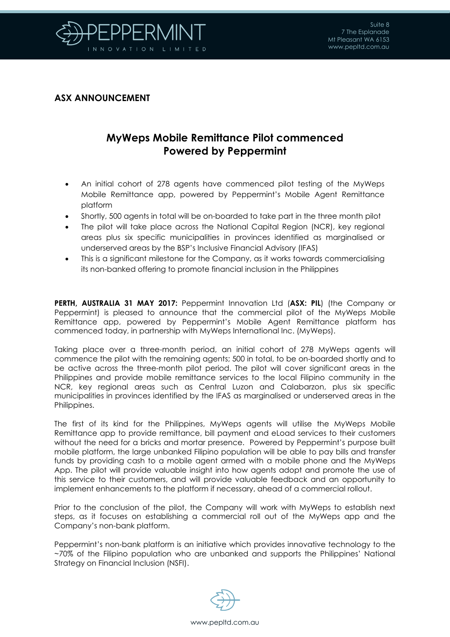

## **ASX ANNOUNCEMENT**

## **MyWeps Mobile Remittance Pilot commenced Powered by Peppermint**

- An initial cohort of 278 agents have commenced pilot testing of the MyWeps Mobile Remittance app, powered by Peppermint's Mobile Agent Remittance platform
- Shortly, 500 agents in total will be on-boarded to take part in the three month pilot
- The pilot will take place across the National Capital Region (NCR), key regional areas plus six specific municipalities in provinces identified as marginalised or underserved areas by the BSP's Inclusive Financial Advisory (IFAS)
- This is a significant milestone for the Company, as it works towards commercialising its non-banked offering to promote financial inclusion in the Philippines

**PERTH, AUSTRALIA 31 MAY 2017:** Peppermint Innovation Ltd (**ASX: PIL**) (the Company or Peppermint) is pleased to announce that the commercial pilot of the MyWeps Mobile Remittance app, powered by Peppermint's Mobile Agent Remittance platform has commenced today, in partnership with MyWeps International Inc. (MyWeps).

Taking place over a three-month period, an initial cohort of 278 MyWeps agents will commence the pilot with the remaining agents; 500 in total, to be on-boarded shortly and to be active across the three-month pilot period. The pilot will cover significant areas in the Philippines and provide mobile remittance services to the local Filipino community in the NCR, key regional areas such as Central Luzon and Calabarzon, plus six specific municipalities in provinces identified by the IFAS as marginalised or underserved areas in the Philippines.

The first of its kind for the Philippines, MyWeps agents will utilise the MyWeps Mobile Remittance app to provide remittance, bill payment and eLoad services to their customers without the need for a bricks and mortar presence. Powered by Peppermint's purpose built mobile platform, the large unbanked Filipino population will be able to pay bills and transfer funds by providing cash to a mobile agent armed with a mobile phone and the MyWeps App. The pilot will provide valuable insight into how agents adopt and promote the use of this service to their customers, and will provide valuable feedback and an opportunity to implement enhancements to the platform if necessary, ahead of a commercial rollout.

Prior to the conclusion of the pilot, the Company will work with MyWeps to establish next steps, as it focuses on establishing a commercial roll out of the MyWeps app and the Company's non-bank platform.

Peppermint's non-bank platform is an initiative which provides innovative technology to the ~70% of the Filipino population who are unbanked and supports the Philippines' National Strategy on Financial Inclusion (NSFI).